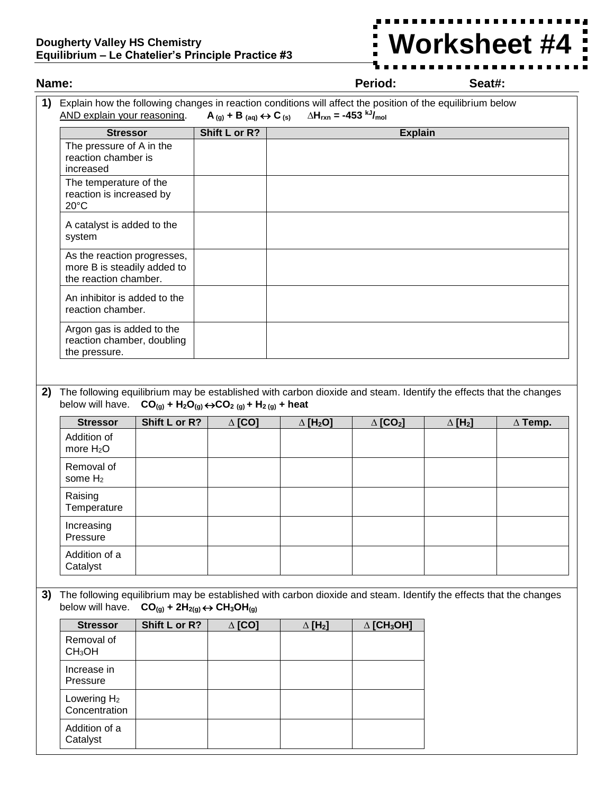## **Dougherty Valley HS Chemistry Equilibrium – Le Chatelier's Principle Practice #3**

## **Worksheet #4**i

| Name:                                                                                                                                                                                                                                         |                                                                                                                                       |               |                                                                     |                             | Seat#:                        |                            |                |  |  |  |
|-----------------------------------------------------------------------------------------------------------------------------------------------------------------------------------------------------------------------------------------------|---------------------------------------------------------------------------------------------------------------------------------------|---------------|---------------------------------------------------------------------|-----------------------------|-------------------------------|----------------------------|----------------|--|--|--|
| Explain how the following changes in reaction conditions will affect the position of the equilibrium below<br>1)<br>$\Delta H_{rxn}$ = -453 kJ/ <sub>mol</sub><br>AND explain your reasoning.<br>$A_{(g)} + B_{(aq)} \leftrightarrow C_{(s)}$ |                                                                                                                                       |               |                                                                     |                             |                               |                            |                |  |  |  |
|                                                                                                                                                                                                                                               | <b>Stressor</b>                                                                                                                       |               | Shift L or R?                                                       |                             | <b>Explain</b>                |                            |                |  |  |  |
|                                                                                                                                                                                                                                               | The pressure of A in the<br>reaction chamber is<br>increased                                                                          |               |                                                                     |                             |                               |                            |                |  |  |  |
|                                                                                                                                                                                                                                               | The temperature of the<br>reaction is increased by<br>$20^{\circ}$ C                                                                  |               |                                                                     |                             |                               |                            |                |  |  |  |
|                                                                                                                                                                                                                                               | A catalyst is added to the<br>system                                                                                                  |               |                                                                     |                             |                               |                            |                |  |  |  |
|                                                                                                                                                                                                                                               | As the reaction progresses,<br>more B is steadily added to<br>the reaction chamber.                                                   |               |                                                                     |                             |                               |                            |                |  |  |  |
|                                                                                                                                                                                                                                               | An inhibitor is added to the<br>reaction chamber.                                                                                     |               |                                                                     |                             |                               |                            |                |  |  |  |
|                                                                                                                                                                                                                                               | Argon gas is added to the<br>reaction chamber, doubling<br>the pressure.                                                              |               |                                                                     |                             |                               |                            |                |  |  |  |
|                                                                                                                                                                                                                                               |                                                                                                                                       |               |                                                                     |                             |                               |                            |                |  |  |  |
|                                                                                                                                                                                                                                               |                                                                                                                                       |               |                                                                     |                             |                               |                            |                |  |  |  |
| 2)                                                                                                                                                                                                                                            | The following equilibrium may be established with carbon dioxide and steam. Identify the effects that the changes<br>below will have. |               | $CO_{(g)} + H_2O_{(g)} \leftrightarrow CO_{2(g)} + H_{2(g)} + heat$ |                             |                               |                            |                |  |  |  |
|                                                                                                                                                                                                                                               | <b>Stressor</b>                                                                                                                       | Shift L or R? | $\Delta$ [CO]                                                       | $\Delta$ [H <sub>2</sub> O] | $\Delta$ [CO <sub>2</sub> ]   | $\Delta$ [H <sub>2</sub> ] | $\Delta$ Temp. |  |  |  |
|                                                                                                                                                                                                                                               | Addition of<br>more $H_2O$                                                                                                            |               |                                                                     |                             |                               |                            |                |  |  |  |
|                                                                                                                                                                                                                                               | Removal of<br>some $H_2$                                                                                                              |               |                                                                     |                             |                               |                            |                |  |  |  |
|                                                                                                                                                                                                                                               | Raising<br>Temperature                                                                                                                |               |                                                                     |                             |                               |                            |                |  |  |  |
|                                                                                                                                                                                                                                               | Increasing<br>Pressure                                                                                                                |               |                                                                     |                             |                               |                            |                |  |  |  |
|                                                                                                                                                                                                                                               | Addition of a<br>Catalyst                                                                                                             |               |                                                                     |                             |                               |                            |                |  |  |  |
|                                                                                                                                                                                                                                               |                                                                                                                                       |               |                                                                     |                             |                               |                            |                |  |  |  |
| 3)<br>The following equilibrium may be established with carbon dioxide and steam. Identify the effects that the changes<br>below will have.<br>$CO_{(g)}$ + 2H <sub>2(g)</sub> $\leftrightarrow$ CH <sub>3</sub> OH <sub>(g)</sub>            |                                                                                                                                       |               |                                                                     |                             |                               |                            |                |  |  |  |
|                                                                                                                                                                                                                                               | <b>Stressor</b>                                                                                                                       | Shift L or R? | $\Delta$ [CO]                                                       | $\Delta$ [H <sub>2</sub> ]  | $\Delta$ [CH <sub>3</sub> OH] |                            |                |  |  |  |
|                                                                                                                                                                                                                                               | Removal of<br>CH <sub>3</sub> OH                                                                                                      |               |                                                                     |                             |                               |                            |                |  |  |  |
|                                                                                                                                                                                                                                               | Increase in<br>Pressure                                                                                                               |               |                                                                     |                             |                               |                            |                |  |  |  |
|                                                                                                                                                                                                                                               | Lowering H <sub>2</sub><br>Concentration                                                                                              |               |                                                                     |                             |                               |                            |                |  |  |  |
|                                                                                                                                                                                                                                               | Addition of a<br>Catalyst                                                                                                             |               |                                                                     |                             |                               |                            |                |  |  |  |